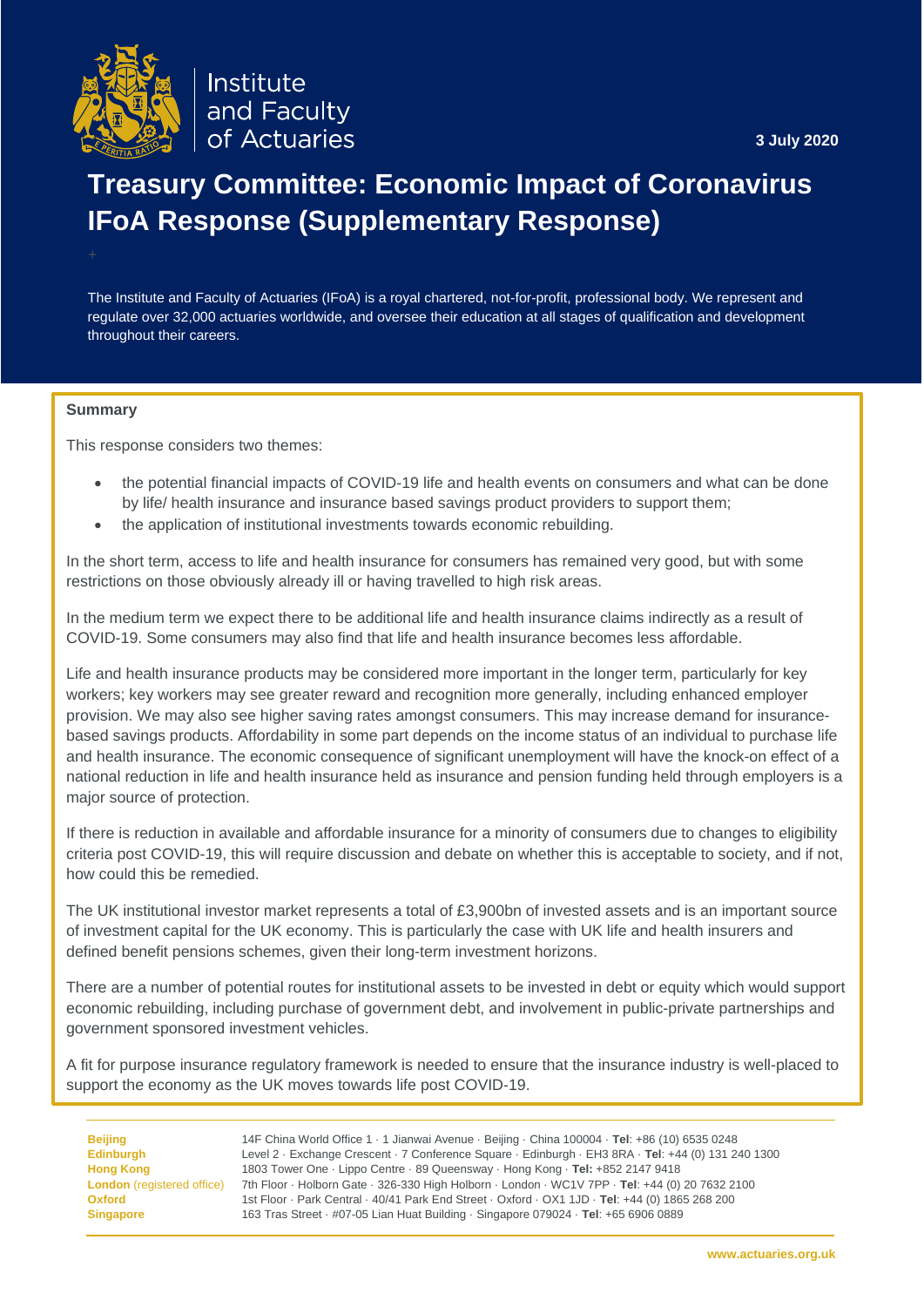

Institute and Faculty of Actuaries

**3 July 2020**

# **Treasury Committee: Economic Impact of Coronavirus IFoA Response (Supplementary Response)**

The Institute and Faculty of Actuaries (IFoA) is a royal chartered, not-for-profit, professional body. We represent and regulate over 32,000 actuaries worldwide, and oversee their education at all stages of qualification and development throughout their careers.

#### **Summary**

This response considers two themes:

- the potential financial impacts of COVID-19 life and health events on consumers and what can be done by life/ health insurance and insurance based savings product providers to support them;
- the application of institutional investments towards economic rebuilding.

In the short term, access to life and health insurance for consumers has remained very good, but with some restrictions on those obviously already ill or having travelled to high risk areas.

In the medium term we expect there to be additional life and health insurance claims indirectly as a result of COVID-19. Some consumers may also find that life and health insurance becomes less affordable.

Life and health insurance products may be considered more important in the longer term, particularly for key workers; key workers may see greater reward and recognition more generally, including enhanced employer provision. We may also see higher saving rates amongst consumers. This may increase demand for insurancebased savings products. Affordability in some part depends on the income status of an individual to purchase life and health insurance. The economic consequence of significant unemployment will have the knock-on effect of a national reduction in life and health insurance held as insurance and pension funding held through employers is a major source of protection.

If there is reduction in available and affordable insurance for a minority of consumers due to changes to eligibility criteria post COVID-19, this will require discussion and debate on whether this is acceptable to society, and if not, how could this be remedied.

The UK institutional investor market represents a total of £3,900bn of invested assets and is an important source of investment capital for the UK economy. This is particularly the case with UK life and health insurers and defined benefit pensions schemes, given their long-term investment horizons.

There are a number of potential routes for institutional assets to be invested in debt or equity which would support economic rebuilding, including purchase of government debt, and involvement in public-private partnerships and government sponsored investment vehicles.

A fit for purpose insurance regulatory framework is needed to ensure that the insurance industry is well-placed to support the economy as the UK moves towards life post COVID-19.

<span id="page-0-0"></span>**Beijing** 14F China World Office 1 · 1 Jianwai Avenue · Beijing · China 100004 · **Tel**: +86 (10) 6535 0248 **Edinburgh** Level 2 · Exchange Crescent · 7 Conference Square · Edinburgh · EH3 8RA · **Tel**: +44 (0) 131 240 1300 **Hong Kong** 1803 Tower One · Lippo Centre · 89 Queensway · Hong Kong · **Tel:** +852 2147 9418 **London** (registered office) 7th Floor · Holborn Gate · 326-330 High Holborn · London · WC1V 7PP · **Tel**: +44 (0) 20 7632 2100 **Oxford** 1st Floor · Park Central · 40/41 Park End Street · Oxford · OX1 1JD · **Tel**: +44 (0) 1865 268 200 **Singapore** 163 Tras Street · #07-05 Lian Huat Building · Singapore 079024 · **Tel**: +65 6906 0889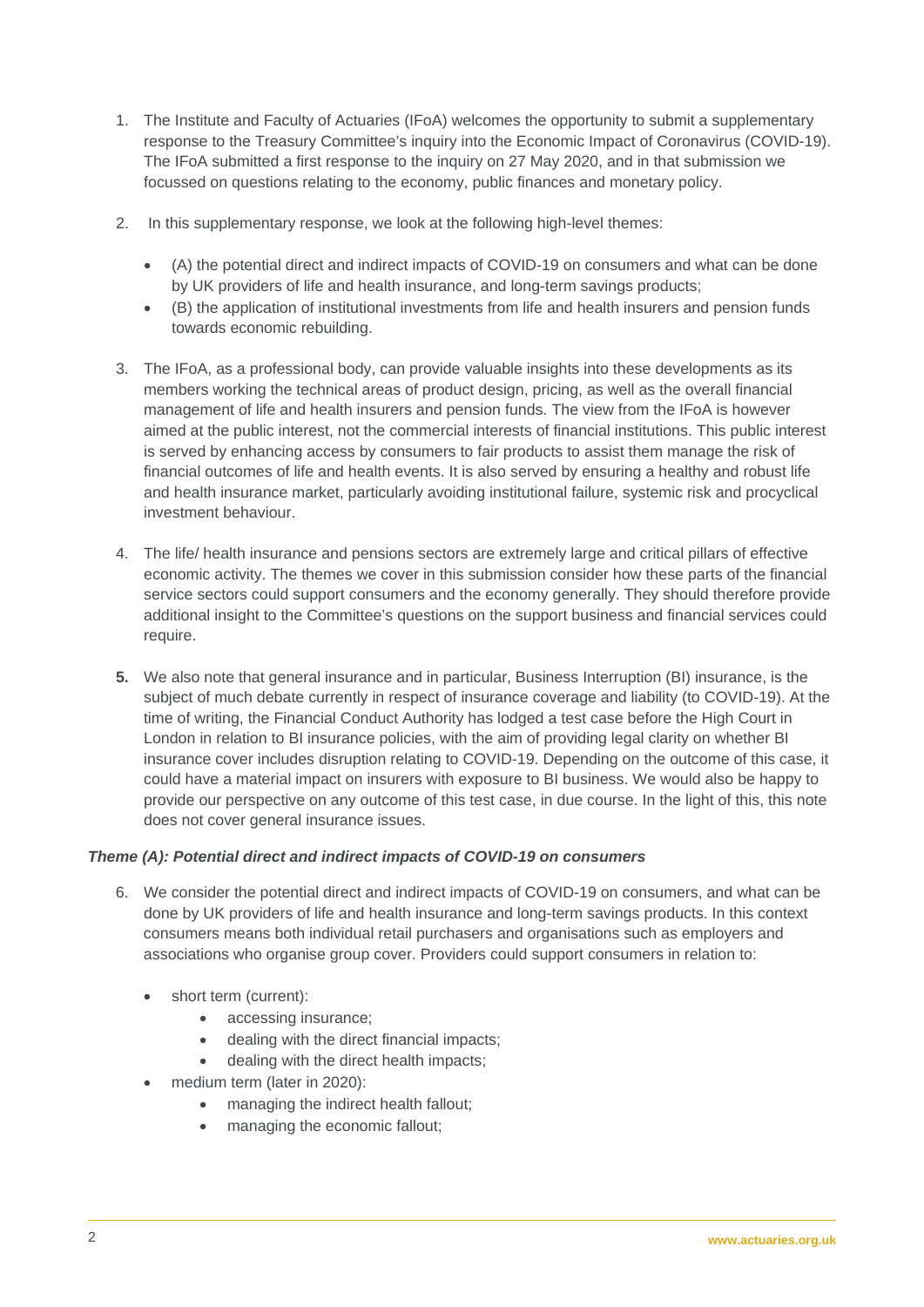- 1. The Institute and Faculty of Actuaries (IFoA) welcomes the opportunity to submit a supplementary response to the Treasury Committee's inquiry into the Economic Impact of Coronavirus (COVID-19). The IFoA submitted a first response to the inquiry on 27 May 2020, and in that submission we focussed on questions relating to the economy, public finances and monetary policy.
- 2. In this supplementary response, we look at the following high-level themes:
	- (A) the potential direct and indirect impacts of COVID-19 on consumers and what can be done by UK providers of life and health insurance, and long-term savings products;
	- (B) the application of institutional investments from life and health insurers and pension funds towards economic rebuilding.
- 3. The IFoA, as a professional body, can provide valuable insights into these developments as its members working the technical areas of product design, pricing, as well as the overall financial management of life and health insurers and pension funds. The view from the IFoA is however aimed at the public interest, not the commercial interests of financial institutions. This public interest is served by enhancing access by consumers to fair products to assist them manage the risk of financial outcomes of life and health events. It is also served by ensuring a healthy and robust life and health insurance market, particularly avoiding institutional failure, systemic risk and procyclical investment behaviour.
- 4. The life/ health insurance and pensions sectors are extremely large and critical pillars of effective economic activity. The themes we cover in this submission consider how these parts of the financial service sectors could support consumers and the economy generally. They should therefore provide additional insight to the Committee's questions on the support business and financial services could require.
- **5.** We also note that general insurance and in particular, Business Interruption (BI) insurance, is the subject of much debate currently in respect of insurance coverage and liability (to COVID-19). At the time of writing, the Financial Conduct Authority has lodged a test case before the High Court in London in relation to BI insurance policies, with the aim of providing legal clarity on whether BI insurance cover includes disruption relating to COVID-19. Depending on the outcome of this case, it could have a material impact on insurers with exposure to BI business. We would also be happy to provide our perspective on any outcome of this test case, in due course. In the light of this, this note does not cover general insurance issues.

## *Theme (A): Potential direct and indirect impacts of COVID-19 on consumers*

- 6. We consider the potential direct and indirect impacts of COVID-19 on consumers, and what can be done by UK providers of life and health insurance and long-term savings products. In this context consumers means both individual retail purchasers and organisations such as employers and associations who organise group cover. Providers could support consumers in relation to:
	- short term (current):
		- accessing insurance;
		- dealing with the direct financial impacts;
		- dealing with the direct health impacts;
	- medium term (later in 2020):
		- managing the indirect health fallout;
		- managing the economic fallout;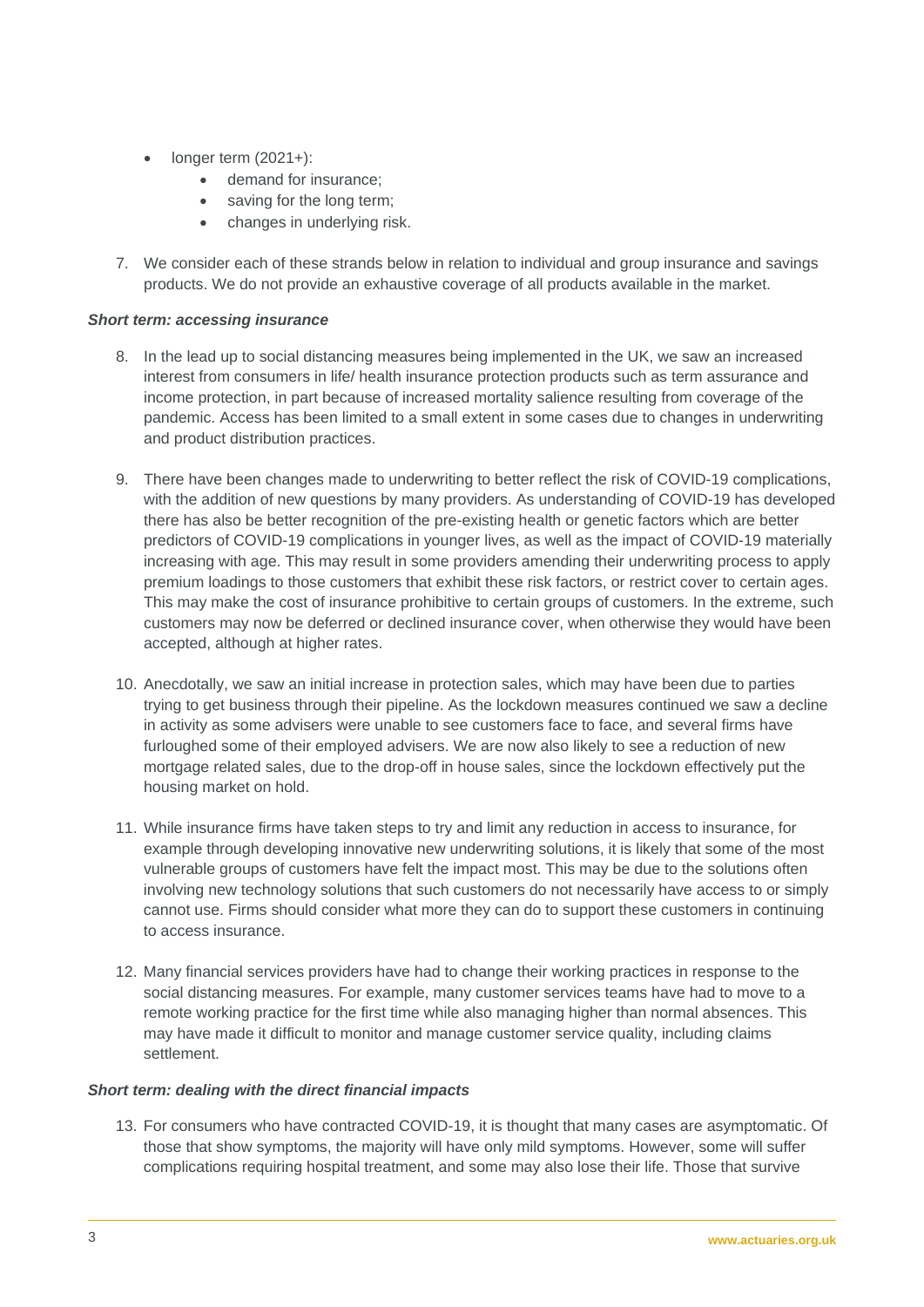- longer term  $(2021+)$ :
	- demand for insurance:
	- saving for the long term:
	- changes in underlying risk.
- 7. We consider each of these strands below in relation to individual and group insurance and savings products. We do not provide an exhaustive coverage of all products available in the market.

# *Short term: accessing insurance*

- 8. In the lead up to social distancing measures being implemented in the UK, we saw an increased interest from consumers in life/ health insurance protection products such as term assurance and income protection, in part because of increased mortality salience resulting from coverage of the pandemic. Access has been limited to a small extent in some cases due to changes in underwriting and product distribution practices.
- 9. There have been changes made to underwriting to better reflect the risk of COVID-19 complications, with the addition of new questions by many providers. As understanding of COVID-19 has developed there has also be better recognition of the pre-existing health or genetic factors which are better predictors of COVID-19 complications in younger lives, as well as the impact of COVID-19 materially increasing with age. This may result in some providers amending their underwriting process to apply premium loadings to those customers that exhibit these risk factors, or restrict cover to certain ages. This may make the cost of insurance prohibitive to certain groups of customers. In the extreme, such customers may now be deferred or declined insurance cover, when otherwise they would have been accepted, although at higher rates.
- 10. Anecdotally, we saw an initial increase in protection sales, which may have been due to parties trying to get business through their pipeline. As the lockdown measures continued we saw a decline in activity as some advisers were unable to see customers face to face, and several firms have furloughed some of their employed advisers. We are now also likely to see a reduction of new mortgage related sales, due to the drop-off in house sales, since the lockdown effectively put the housing market on hold.
- 11. While insurance firms have taken steps to try and limit any reduction in access to insurance, for example through developing innovative new underwriting solutions, it is likely that some of the most vulnerable groups of customers have felt the impact most. This may be due to the solutions often involving new technology solutions that such customers do not necessarily have access to or simply cannot use. Firms should consider what more they can do to support these customers in continuing to access insurance.
- 12. Many financial services providers have had to change their working practices in response to the social distancing measures. For example, many customer services teams have had to move to a remote working practice for the first time while also managing higher than normal absences. This may have made it difficult to monitor and manage customer service quality, including claims settlement.

## *Short term: dealing with the direct financial impacts*

13. For consumers who have contracted COVID-19, it is thought that many cases are asymptomatic. Of those that show symptoms, the majority will have only mild symptoms. However, some will suffer complications requiring hospital treatment, and some may also lose their life. Those that survive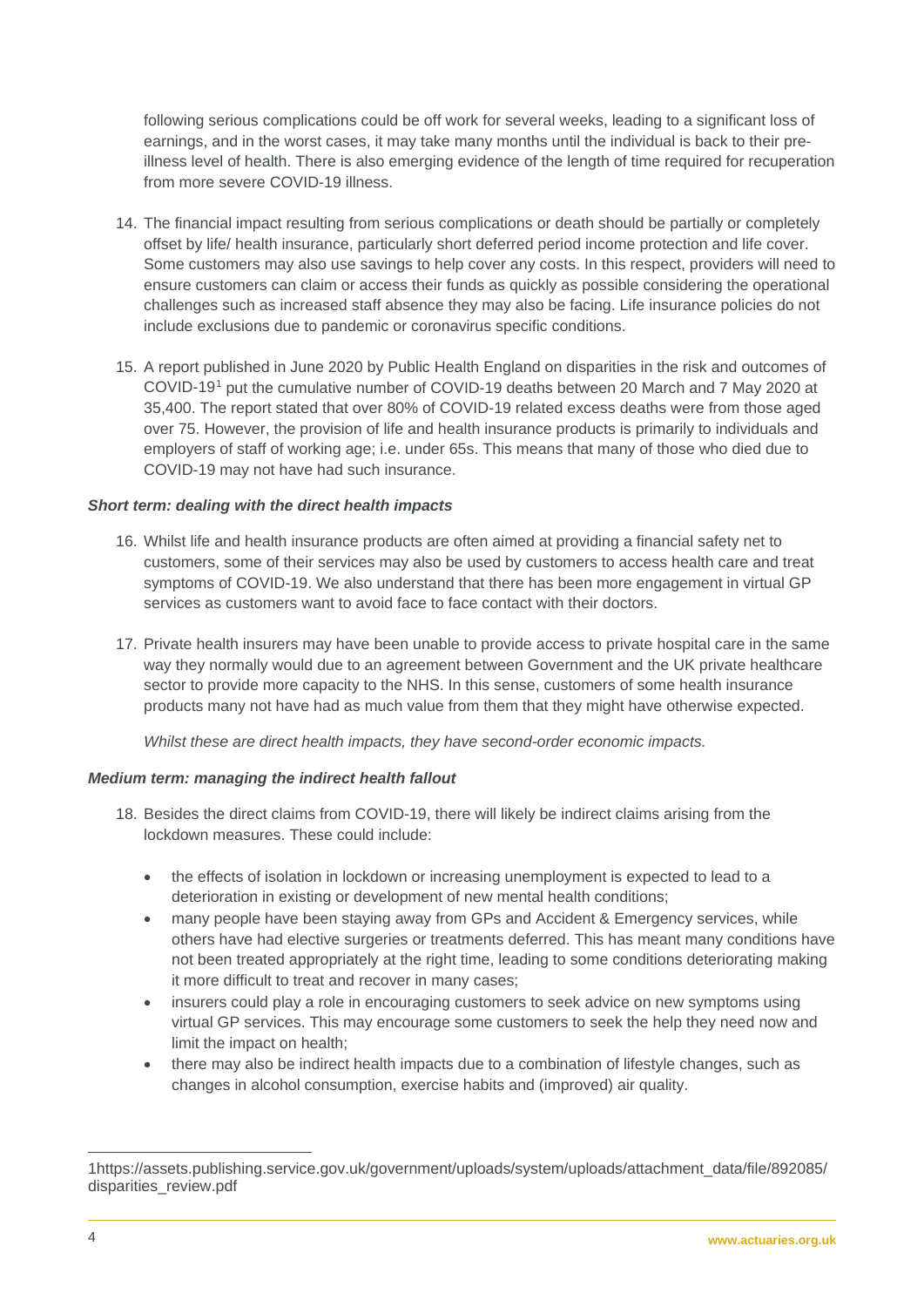following serious complications could be off work for several weeks, leading to a significant loss of earnings, and in the worst cases, it may take many months until the individual is back to their preillness level of health. There is also emerging evidence of the length of time required for recuperation from more severe COVID-19 illness.

- 14. The financial impact resulting from serious complications or death should be partially or completely offset by life/ health insurance, particularly short deferred period income protection and life cover. Some customers may also use savings to help cover any costs. In this respect, providers will need to ensure customers can claim or access their funds as quickly as possible considering the operational challenges such as increased staff absence they may also be facing. Life insurance policies do not include exclusions due to pandemic or coronavirus specific conditions.
- 15. A report published in June 2020 by Public Health England on disparities in the risk and outcomes of COVID-19[1](#page-0-0) put the cumulative number of COVID-19 deaths between 20 March and 7 May 2020 at 35,400. The report stated that over 80% of COVID-19 related excess deaths were from those aged over 75. However, the provision of life and health insurance products is primarily to individuals and employers of staff of working age; i.e. under 65s. This means that many of those who died due to COVID-19 may not have had such insurance.

## *Short term: dealing with the direct health impacts*

- 16. Whilst life and health insurance products are often aimed at providing a financial safety net to customers, some of their services may also be used by customers to access health care and treat symptoms of COVID-19. We also understand that there has been more engagement in virtual GP services as customers want to avoid face to face contact with their doctors.
- 17. Private health insurers may have been unable to provide access to private hospital care in the same way they normally would due to an agreement between Government and the UK private healthcare sector to provide more capacity to the NHS. In this sense, customers of some health insurance products many not have had as much value from them that they might have otherwise expected.

*Whilst these are direct health impacts, they have second-order economic impacts.* 

# *Medium term: managing the indirect health fallout*

- 18. Besides the direct claims from COVID-19, there will likely be indirect claims arising from the lockdown measures. These could include:
	- the effects of isolation in lockdown or increasing unemployment is expected to lead to a deterioration in existing or development of new mental health conditions;
	- many people have been staying away from GPs and Accident & Emergency services, while others have had elective surgeries or treatments deferred. This has meant many conditions have not been treated appropriately at the right time, leading to some conditions deteriorating making it more difficult to treat and recover in many cases;
	- insurers could play a role in encouraging customers to seek advice on new symptoms using virtual GP services. This may encourage some customers to seek the help they need now and limit the impact on health;
	- there may also be indirect health impacts due to a combination of lifestyle changes, such as changes in alcohol consumption, exercise habits and (improved) air quality.

<sup>1</sup>https://assets.publishing.service.gov.uk/government/uploads/system/uploads/attachment\_data/file/892085/ disparities\_review.pdf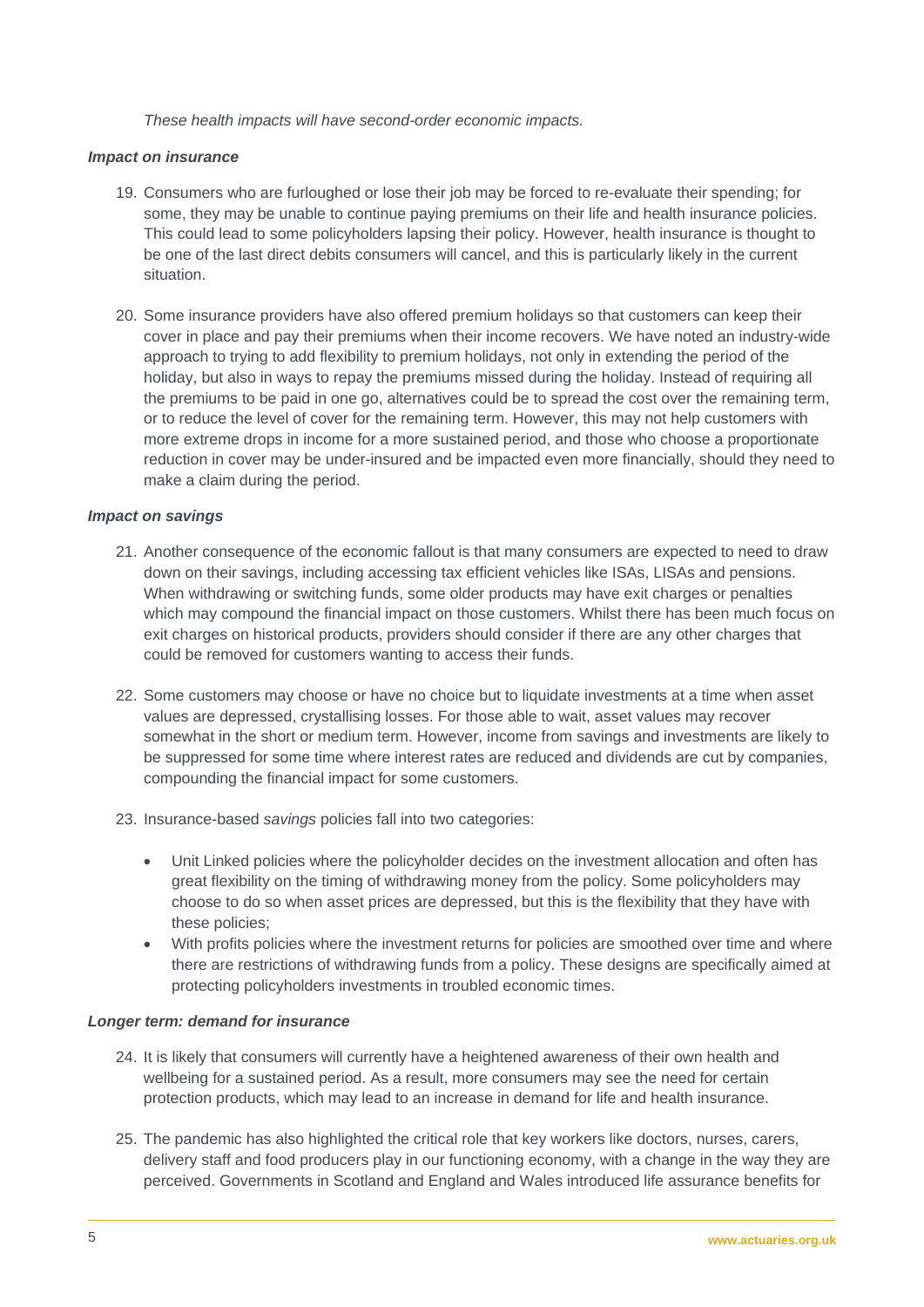*These health impacts will have second-order economic impacts.* 

## *Impact on insurance*

- 19. Consumers who are furloughed or lose their job may be forced to re-evaluate their spending; for some, they may be unable to continue paying premiums on their life and health insurance policies. This could lead to some policyholders lapsing their policy. However, health insurance is thought to be one of the last direct debits consumers will cancel, and this is particularly likely in the current situation.
- 20. Some insurance providers have also offered premium holidays so that customers can keep their cover in place and pay their premiums when their income recovers. We have noted an industry-wide approach to trying to add flexibility to premium holidays, not only in extending the period of the holiday, but also in ways to repay the premiums missed during the holiday. Instead of requiring all the premiums to be paid in one go, alternatives could be to spread the cost over the remaining term, or to reduce the level of cover for the remaining term. However, this may not help customers with more extreme drops in income for a more sustained period, and those who choose a proportionate reduction in cover may be under-insured and be impacted even more financially, should they need to make a claim during the period.

## *Impact on savings*

- 21. Another consequence of the economic fallout is that many consumers are expected to need to draw down on their savings, including accessing tax efficient vehicles like ISAs, LISAs and pensions. When withdrawing or switching funds, some older products may have exit charges or penalties which may compound the financial impact on those customers. Whilst there has been much focus on exit charges on historical products, providers should consider if there are any other charges that could be removed for customers wanting to access their funds.
- 22. Some customers may choose or have no choice but to liquidate investments at a time when asset values are depressed, crystallising losses. For those able to wait, asset values may recover somewhat in the short or medium term. However, income from savings and investments are likely to be suppressed for some time where interest rates are reduced and dividends are cut by companies, compounding the financial impact for some customers.
- 23. Insurance-based *savings* policies fall into two categories:
	- Unit Linked policies where the policyholder decides on the investment allocation and often has great flexibility on the timing of withdrawing money from the policy. Some policyholders may choose to do so when asset prices are depressed, but this is the flexibility that they have with these policies;
	- With profits policies where the investment returns for policies are smoothed over time and where there are restrictions of withdrawing funds from a policy. These designs are specifically aimed at protecting policyholders investments in troubled economic times.

#### *Longer term: demand for insurance*

- 24. It is likely that consumers will currently have a heightened awareness of their own health and wellbeing for a sustained period. As a result, more consumers may see the need for certain protection products, which may lead to an increase in demand for life and health insurance.
- 25. The pandemic has also highlighted the critical role that key workers like doctors, nurses, carers, delivery staff and food producers play in our functioning economy, with a change in the way they are perceived. Governments in Scotland and England and Wales introduced life assurance benefits for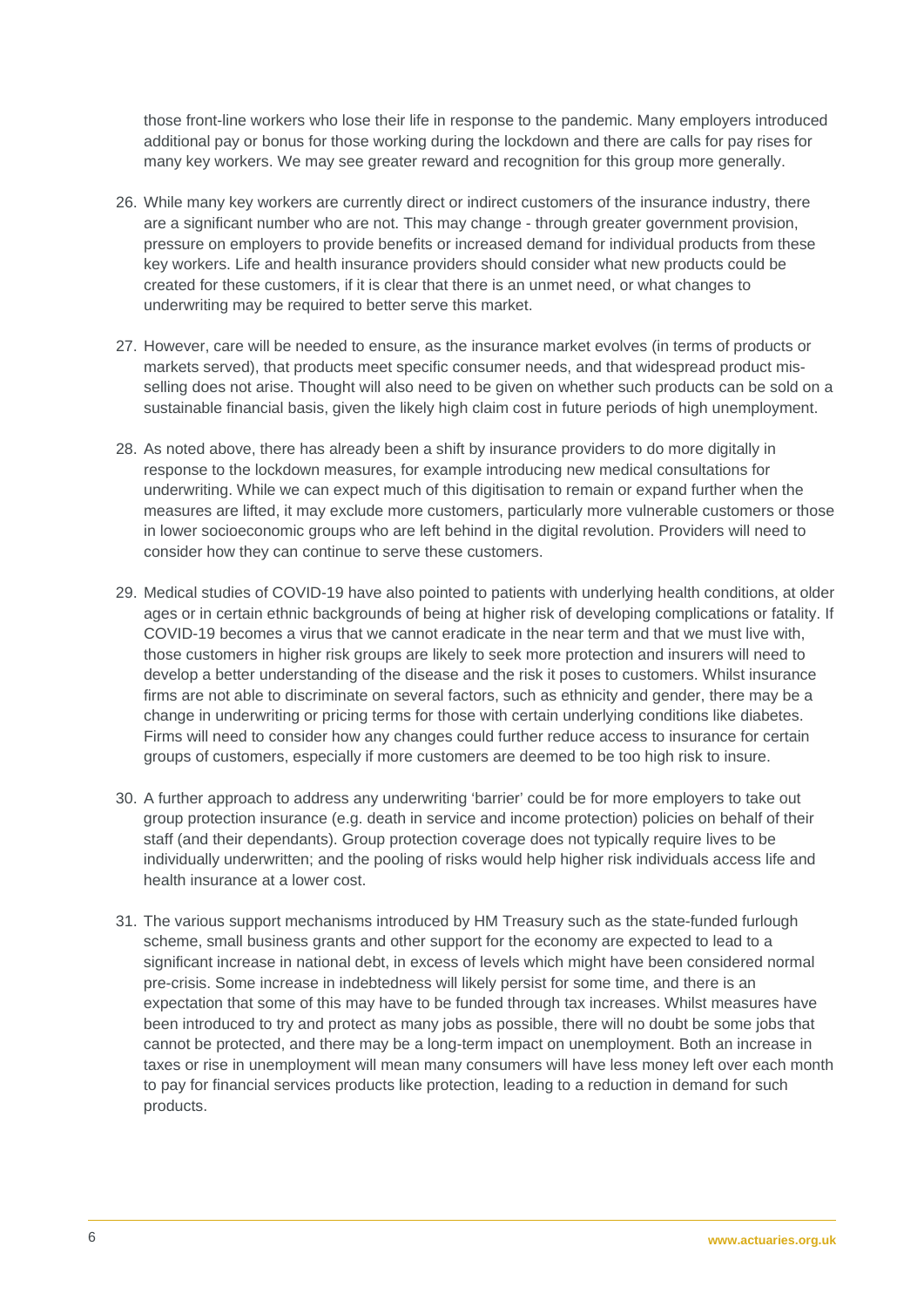those front-line workers who lose their life in response to the pandemic. Many employers introduced additional pay or bonus for those working during the lockdown and there are calls for pay rises for many key workers. We may see greater reward and recognition for this group more generally.

- 26. While many key workers are currently direct or indirect customers of the insurance industry, there are a significant number who are not. This may change - through greater government provision, pressure on employers to provide benefits or increased demand for individual products from these key workers. Life and health insurance providers should consider what new products could be created for these customers, if it is clear that there is an unmet need, or what changes to underwriting may be required to better serve this market.
- 27. However, care will be needed to ensure, as the insurance market evolves (in terms of products or markets served), that products meet specific consumer needs, and that widespread product misselling does not arise. Thought will also need to be given on whether such products can be sold on a sustainable financial basis, given the likely high claim cost in future periods of high unemployment.
- 28. As noted above, there has already been a shift by insurance providers to do more digitally in response to the lockdown measures, for example introducing new medical consultations for underwriting. While we can expect much of this digitisation to remain or expand further when the measures are lifted, it may exclude more customers, particularly more vulnerable customers or those in lower socioeconomic groups who are left behind in the digital revolution. Providers will need to consider how they can continue to serve these customers.
- 29. Medical studies of COVID-19 have also pointed to patients with underlying health conditions, at older ages or in certain ethnic backgrounds of being at higher risk of developing complications or fatality. If COVID-19 becomes a virus that we cannot eradicate in the near term and that we must live with, those customers in higher risk groups are likely to seek more protection and insurers will need to develop a better understanding of the disease and the risk it poses to customers. Whilst insurance firms are not able to discriminate on several factors, such as ethnicity and gender, there may be a change in underwriting or pricing terms for those with certain underlying conditions like diabetes. Firms will need to consider how any changes could further reduce access to insurance for certain groups of customers, especially if more customers are deemed to be too high risk to insure.
- 30. A further approach to address any underwriting 'barrier' could be for more employers to take out group protection insurance (e.g. death in service and income protection) policies on behalf of their staff (and their dependants). Group protection coverage does not typically require lives to be individually underwritten; and the pooling of risks would help higher risk individuals access life and health insurance at a lower cost.
- 31. The various support mechanisms introduced by HM Treasury such as the state-funded furlough scheme, small business grants and other support for the economy are expected to lead to a significant increase in national debt, in excess of levels which might have been considered normal pre-crisis. Some increase in indebtedness will likely persist for some time, and there is an expectation that some of this may have to be funded through tax increases. Whilst measures have been introduced to try and protect as many jobs as possible, there will no doubt be some jobs that cannot be protected, and there may be a long-term impact on unemployment. Both an increase in taxes or rise in unemployment will mean many consumers will have less money left over each month to pay for financial services products like protection, leading to a reduction in demand for such products.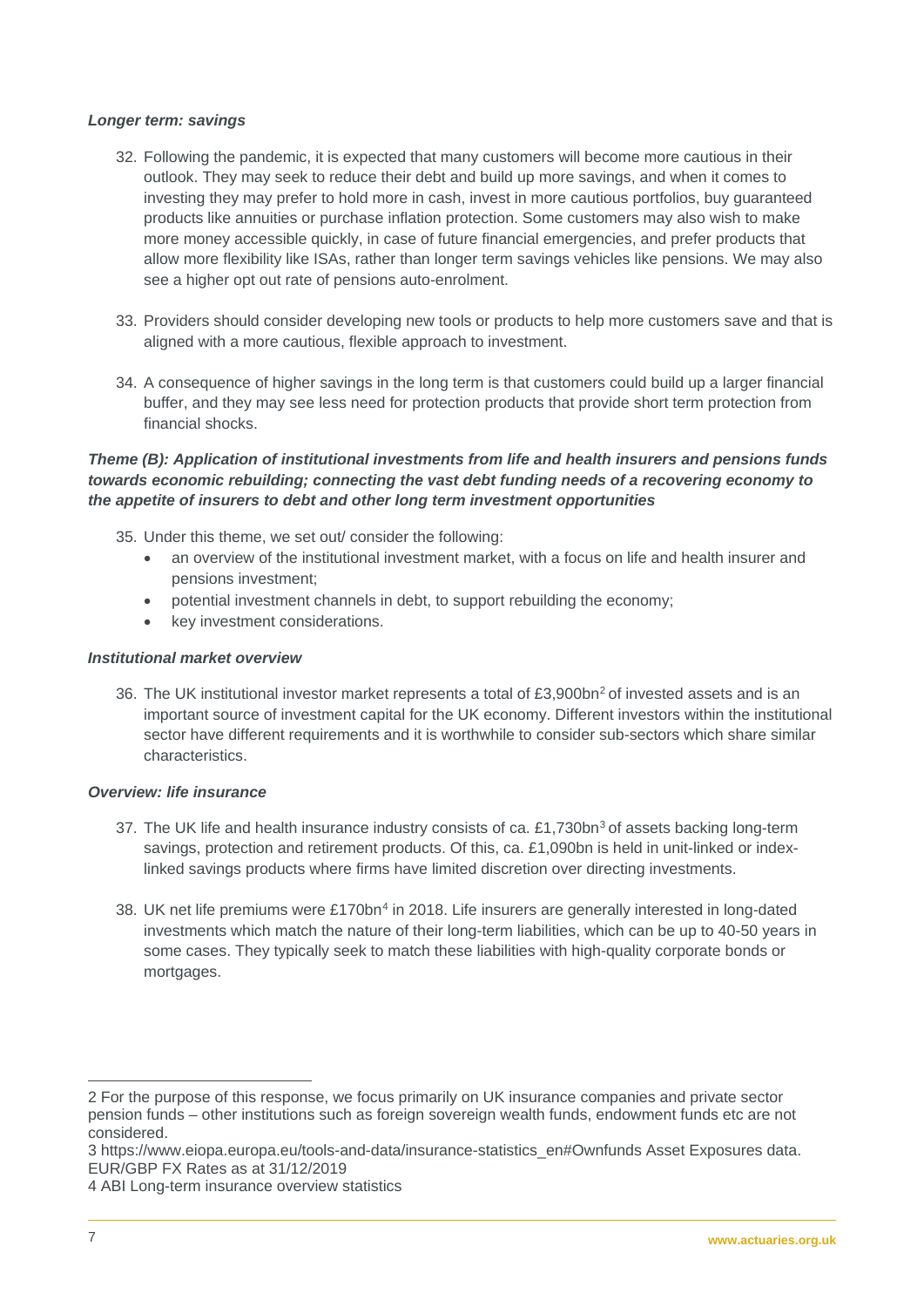## *Longer term: savings*

- 32. Following the pandemic, it is expected that many customers will become more cautious in their outlook. They may seek to reduce their debt and build up more savings, and when it comes to investing they may prefer to hold more in cash, invest in more cautious portfolios, buy guaranteed products like annuities or purchase inflation protection. Some customers may also wish to make more money accessible quickly, in case of future financial emergencies, and prefer products that allow more flexibility like ISAs, rather than longer term savings vehicles like pensions. We may also see a higher opt out rate of pensions auto-enrolment.
- 33. Providers should consider developing new tools or products to help more customers save and that is aligned with a more cautious, flexible approach to investment.
- 34. A consequence of higher savings in the long term is that customers could build up a larger financial buffer, and they may see less need for protection products that provide short term protection from financial shocks.

## *Theme (B): Application of institutional investments from life and health insurers and pensions funds towards economic rebuilding; connecting the vast debt funding needs of a recovering economy to the appetite of insurers to debt and other long term investment opportunities*

- 35. Under this theme, we set out/ consider the following:
	- an overview of the institutional investment market, with a focus on life and health insurer and pensions investment;
	- potential investment channels in debt, to support rebuilding the economy;
	- key investment considerations.

#### *Institutional market overview*

36. The UK institutional investor market represents a total of £3,900bn<sup>[2](#page-6-0)</sup> of invested assets and is an important source of investment capital for the UK economy. Different investors within the institutional sector have different requirements and it is worthwhile to consider sub-sectors which share similar characteristics.

#### *Overview: life insurance*

- [3](#page-6-1)7. The UK life and health insurance industry consists of ca.  $£1,730bn<sup>3</sup>$  of assets backing long-term savings, protection and retirement products. Of this, ca. £1,090bn is held in unit-linked or indexlinked savings products where firms have limited discretion over directing investments.
- 38. UK net life premiums were £170bn<sup>[4](#page-6-2)</sup> in 2018. Life insurers are generally interested in long-dated investments which match the nature of their long-term liabilities, which can be up to 40-50 years in some cases. They typically seek to match these liabilities with high-quality corporate bonds or mortgages.

<span id="page-6-0"></span><sup>2</sup> For the purpose of this response, we focus primarily on UK insurance companies and private sector pension funds – other institutions such as foreign sovereign wealth funds, endowment funds etc are not considered.

<span id="page-6-1"></span><sup>3</sup> [https://www.eiopa.europa.eu/tools-and-data/insurance-statistics\\_en#Ownfunds](https://www.eiopa.europa.eu/tools-and-data/insurance-statistics_en#Ownfunds) Asset Exposures data. EUR/GBP FX Rates as at 31/12/2019

<span id="page-6-2"></span><sup>4</sup> ABI Long-term insurance overview statistics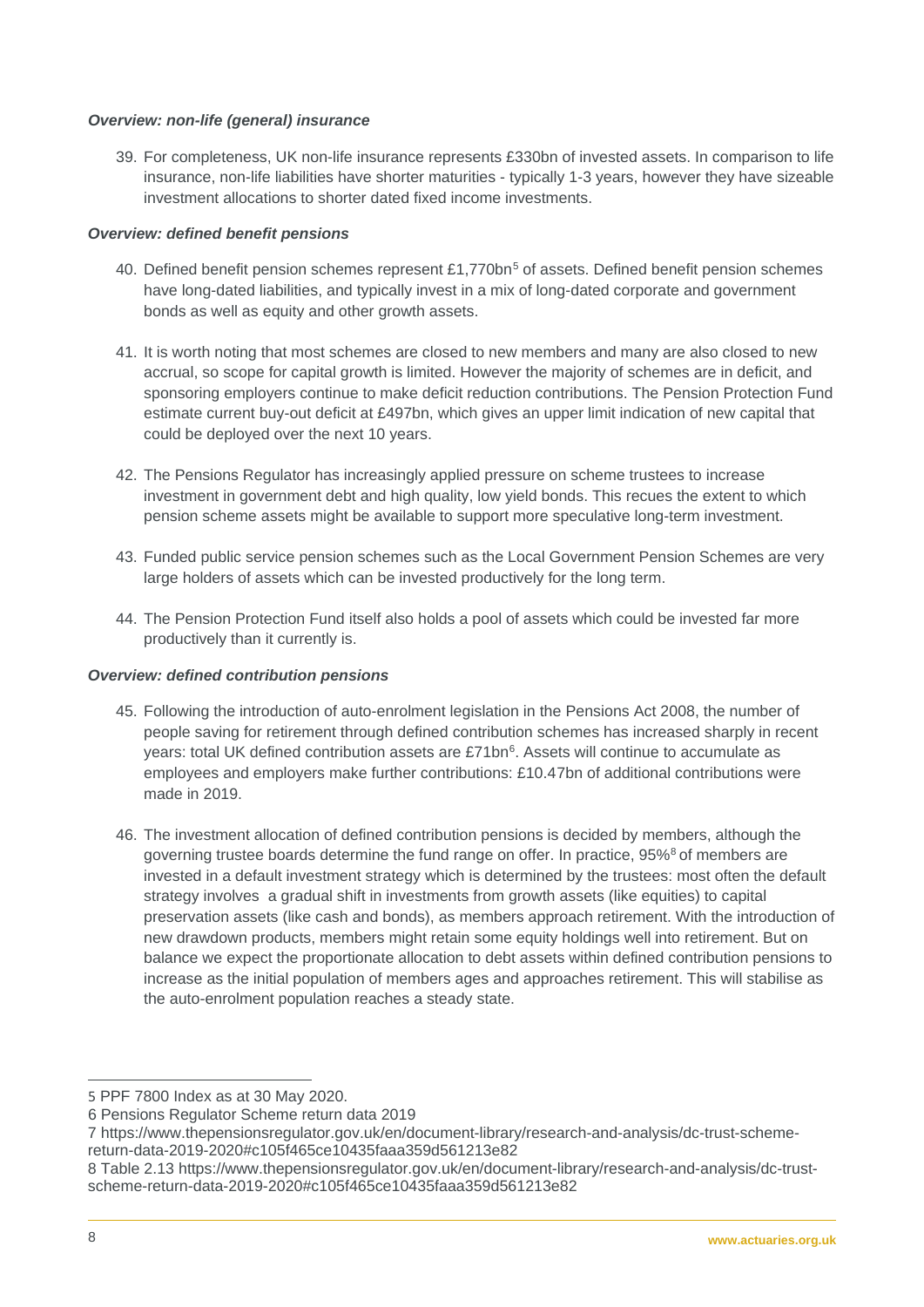## *Overview: non-life (general) insurance*

39. For completeness, UK non-life insurance represents £330bn of invested assets. In comparison to life insurance, non-life liabilities have shorter maturities - typically 1-3 years, however they have sizeable investment allocations to shorter dated fixed income investments.

# *Overview: defined benefit pensions*

- 40. Defined benefit pension schemes represent £1,770bn<sup>[5](#page-7-0)</sup> of assets. Defined benefit pension schemes have long-dated liabilities, and typically invest in a mix of long-dated corporate and government bonds as well as equity and other growth assets.
- 41. It is worth noting that most schemes are closed to new members and many are also closed to new accrual, so scope for capital growth is limited. However the majority of schemes are in deficit, and sponsoring employers continue to make deficit reduction contributions. The Pension Protection Fund estimate current buy-out deficit at £497bn, which gives an upper limit indication of new capital that could be deployed over the next 10 years.
- 42. The Pensions Regulator has increasingly applied pressure on scheme trustees to increase investment in government debt and high quality, low yield bonds. This recues the extent to which pension scheme assets might be available to support more speculative long-term investment.
- 43. Funded public service pension schemes such as the Local Government Pension Schemes are very large holders of assets which can be invested productively for the long term.
- 44. The Pension Protection Fund itself also holds a pool of assets which could be invested far more productively than it currently is.

## *Overview: defined contribution pensions*

- 45. Following the introduction of auto-enrolment legislation in the Pensions Act 2008, the number of people saving for retirement through defined contribution schemes has increased sharply in recent years: total UK defined contribution assets are £71bn<sup>6</sup>. Assets will continue to accumulate as employees and employers make further contributions: £10.4[7](#page-7-2)bn of additional contributions were made in 2019.
- 46. The investment allocation of defined contribution pensions is decided by members, although the governing trustee boards determine the fund range on offer. In practice, 95%<sup>[8](#page-7-3)</sup> of members are invested in a default investment strategy which is determined by the trustees: most often the default strategy involves a gradual shift in investments from growth assets (like equities) to capital preservation assets (like cash and bonds), as members approach retirement. With the introduction of new drawdown products, members might retain some equity holdings well into retirement. But on balance we expect the proportionate allocation to debt assets within defined contribution pensions to increase as the initial population of members ages and approaches retirement. This will stabilise as the auto-enrolment population reaches a steady state.

<span id="page-7-0"></span><sup>5</sup> PPF 7800 Index as at 30 May 2020.

<span id="page-7-1"></span><sup>6</sup> Pensions Regulator Scheme return data 2019

<span id="page-7-2"></span><sup>7</sup> [https://www.thepensionsregulator.gov.uk/en/document-library/research-and-analysis/dc-trust-scheme](https://www.thepensionsregulator.gov.uk/en/document-library/research-and-analysis/dc-trust-scheme-return-data-2019-2020#c105f465ce10435faaa359d561213e82)[return-data-2019-2020#c105f465ce10435faaa359d561213e82](https://www.thepensionsregulator.gov.uk/en/document-library/research-and-analysis/dc-trust-scheme-return-data-2019-2020#c105f465ce10435faaa359d561213e82)

<span id="page-7-3"></span><sup>8</sup> Table 2.13 [https://www.thepensionsregulator.gov.uk/en/document-library/research-and-analysis/dc-trust](https://www.thepensionsregulator.gov.uk/en/document-library/research-and-analysis/dc-trust-scheme-return-data-2019-2020#c105f465ce10435faaa359d561213e82)[scheme-return-data-2019-2020#c105f465ce10435faaa359d561213e82](https://www.thepensionsregulator.gov.uk/en/document-library/research-and-analysis/dc-trust-scheme-return-data-2019-2020#c105f465ce10435faaa359d561213e82)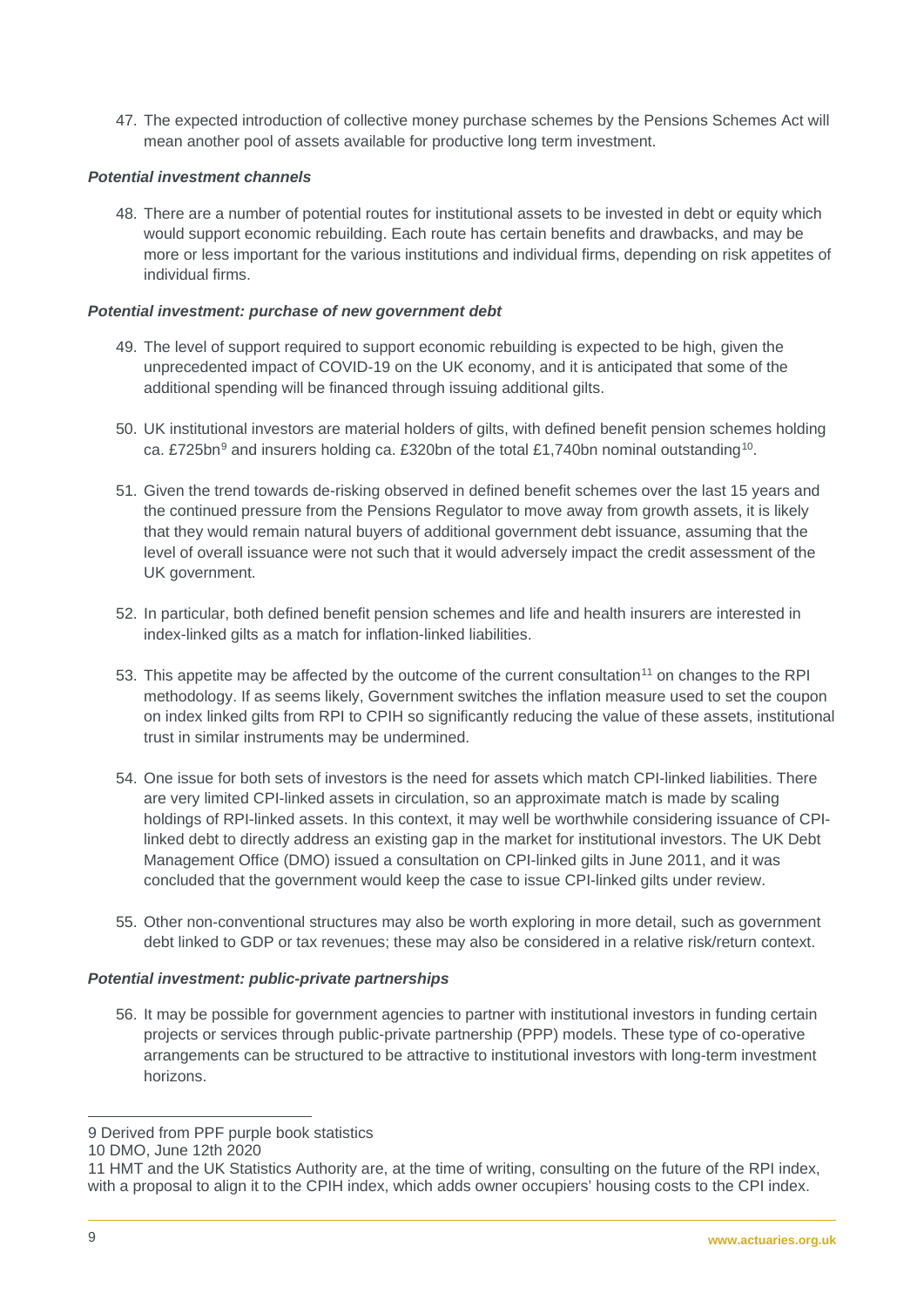47. The expected introduction of collective money purchase schemes by the Pensions Schemes Act will mean another pool of assets available for productive long term investment.

# *Potential investment channels*

48. There are a number of potential routes for institutional assets to be invested in debt or equity which would support economic rebuilding. Each route has certain benefits and drawbacks, and may be more or less important for the various institutions and individual firms, depending on risk appetites of individual firms.

# *Potential investment: purchase of new government debt*

- 49. The level of support required to support economic rebuilding is expected to be high, given the unprecedented impact of COVID-19 on the UK economy, and it is anticipated that some of the additional spending will be financed through issuing additional gilts.
- 50. UK institutional investors are material holders of gilts, with defined benefit pension schemes holding ca. £725bn<sup>[9](#page-8-0)</sup> and insurers holding ca. £320bn of the total £1,740bn nominal outstanding<sup>[10](#page-8-1)</sup>.
- 51. Given the trend towards de-risking observed in defined benefit schemes over the last 15 years and the continued pressure from the Pensions Regulator to move away from growth assets, it is likely that they would remain natural buyers of additional government debt issuance, assuming that the level of overall issuance were not such that it would adversely impact the credit assessment of the UK government.
- 52. In particular, both defined benefit pension schemes and life and health insurers are interested in index-linked gilts as a match for inflation-linked liabilities.
- 53. This appetite may be affected by the outcome of the current consultation<sup>[11](#page-8-2)</sup> on changes to the RPI methodology. If as seems likely, Government switches the inflation measure used to set the coupon on index linked gilts from RPI to CPIH so significantly reducing the value of these assets, institutional trust in similar instruments may be undermined.
- 54. One issue for both sets of investors is the need for assets which match CPI-linked liabilities. There are very limited CPI-linked assets in circulation, so an approximate match is made by scaling holdings of RPI-linked assets. In this context, it may well be worthwhile considering issuance of CPIlinked debt to directly address an existing gap in the market for institutional investors. The UK Debt Management Office (DMO) issued a consultation on CPI-linked gilts in June 2011, and it was concluded that the government would keep the case to issue CPI-linked gilts under review.
- 55. Other non-conventional structures may also be worth exploring in more detail, such as government debt linked to GDP or tax revenues; these may also be considered in a relative risk/return context.

## *Potential investment: public-private partnerships*

56. It may be possible for government agencies to partner with institutional investors in funding certain projects or services through public-private partnership (PPP) models. These type of co-operative arrangements can be structured to be attractive to institutional investors with long-term investment horizons.

 $\overline{a}$ 9 Derived from PPF purple book statistics

<span id="page-8-1"></span><span id="page-8-0"></span><sup>10</sup> DMO, June 12th 2020

<span id="page-8-2"></span><sup>11</sup> HMT and the UK Statistics Authority are, at the time of writing, consulting on the future of the RPI index, with a proposal to align it to the CPIH index, which adds owner occupiers' housing costs to the CPI index.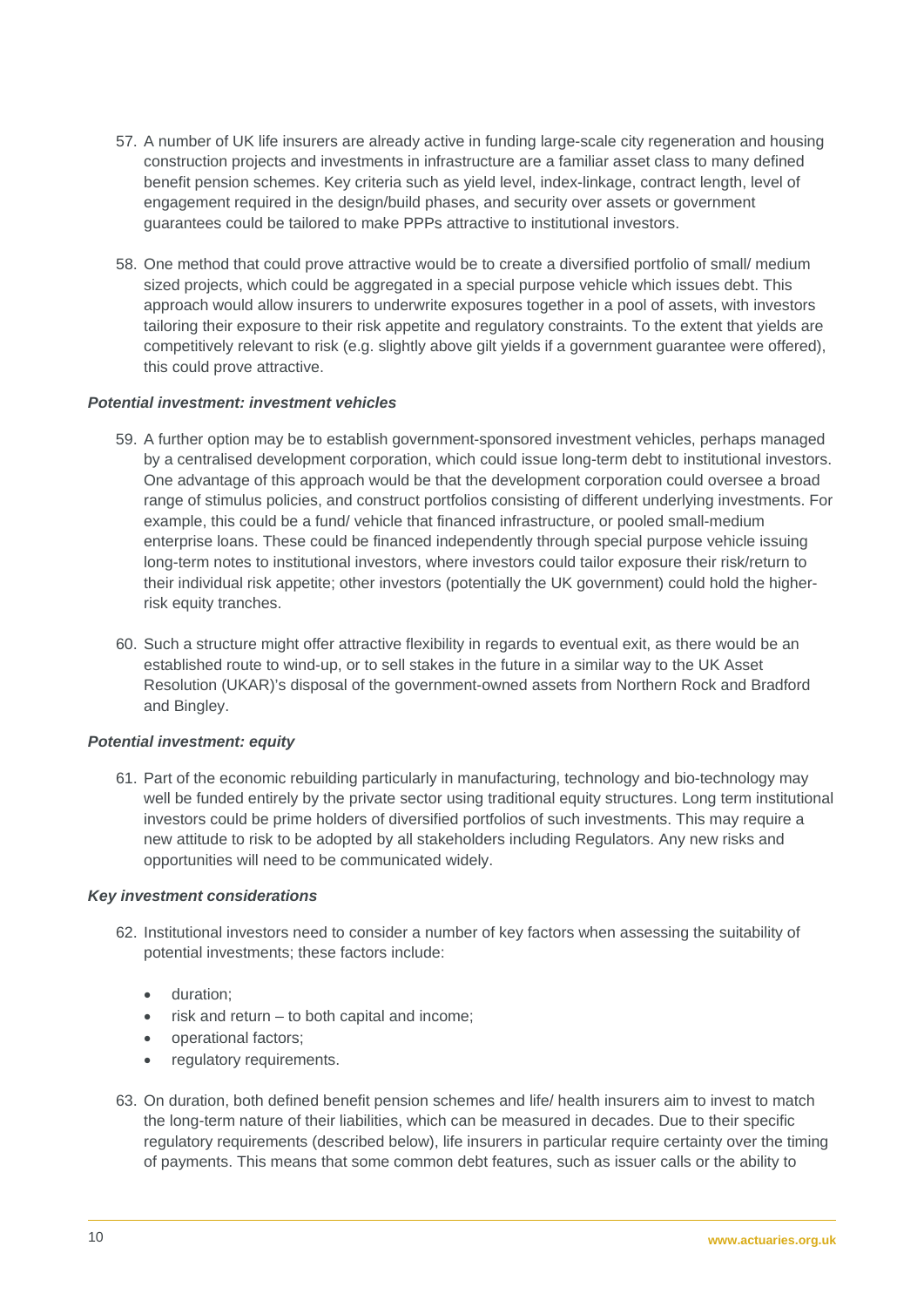- 57. A number of UK life insurers are already active in funding large-scale city regeneration and housing construction projects and investments in infrastructure are a familiar asset class to many defined benefit pension schemes. Key criteria such as yield level, index-linkage, contract length, level of engagement required in the design/build phases, and security over assets or government guarantees could be tailored to make PPPs attractive to institutional investors.
- 58. One method that could prove attractive would be to create a diversified portfolio of small/ medium sized projects, which could be aggregated in a special purpose vehicle which issues debt. This approach would allow insurers to underwrite exposures together in a pool of assets, with investors tailoring their exposure to their risk appetite and regulatory constraints. To the extent that yields are competitively relevant to risk (e.g. slightly above gilt yields if a government guarantee were offered), this could prove attractive.

## *Potential investment: investment vehicles*

- 59. A further option may be to establish government-sponsored investment vehicles, perhaps managed by a centralised development corporation, which could issue long-term debt to institutional investors. One advantage of this approach would be that the development corporation could oversee a broad range of stimulus policies, and construct portfolios consisting of different underlying investments. For example, this could be a fund/ vehicle that financed infrastructure, or pooled small-medium enterprise loans. These could be financed independently through special purpose vehicle issuing long-term notes to institutional investors, where investors could tailor exposure their risk/return to their individual risk appetite; other investors (potentially the UK government) could hold the higherrisk equity tranches.
- 60. Such a structure might offer attractive flexibility in regards to eventual exit, as there would be an established route to wind-up, or to sell stakes in the future in a similar way to the UK Asset Resolution (UKAR)'s disposal of the government-owned assets from Northern Rock and Bradford and Bingley.

#### *Potential investment: equity*

61. Part of the economic rebuilding particularly in manufacturing, technology and bio-technology may well be funded entirely by the private sector using traditional equity structures. Long term institutional investors could be prime holders of diversified portfolios of such investments. This may require a new attitude to risk to be adopted by all stakeholders including Regulators. Any new risks and opportunities will need to be communicated widely.

#### *Key investment considerations*

- 62. Institutional investors need to consider a number of key factors when assessing the suitability of potential investments; these factors include:
	- duration;
	- risk and return  $-$  to both capital and income;
	- operational factors;
	- requlatory requirements.
- 63. On duration, both defined benefit pension schemes and life/ health insurers aim to invest to match the long-term nature of their liabilities, which can be measured in decades. Due to their specific regulatory requirements (described below), life insurers in particular require certainty over the timing of payments. This means that some common debt features, such as issuer calls or the ability to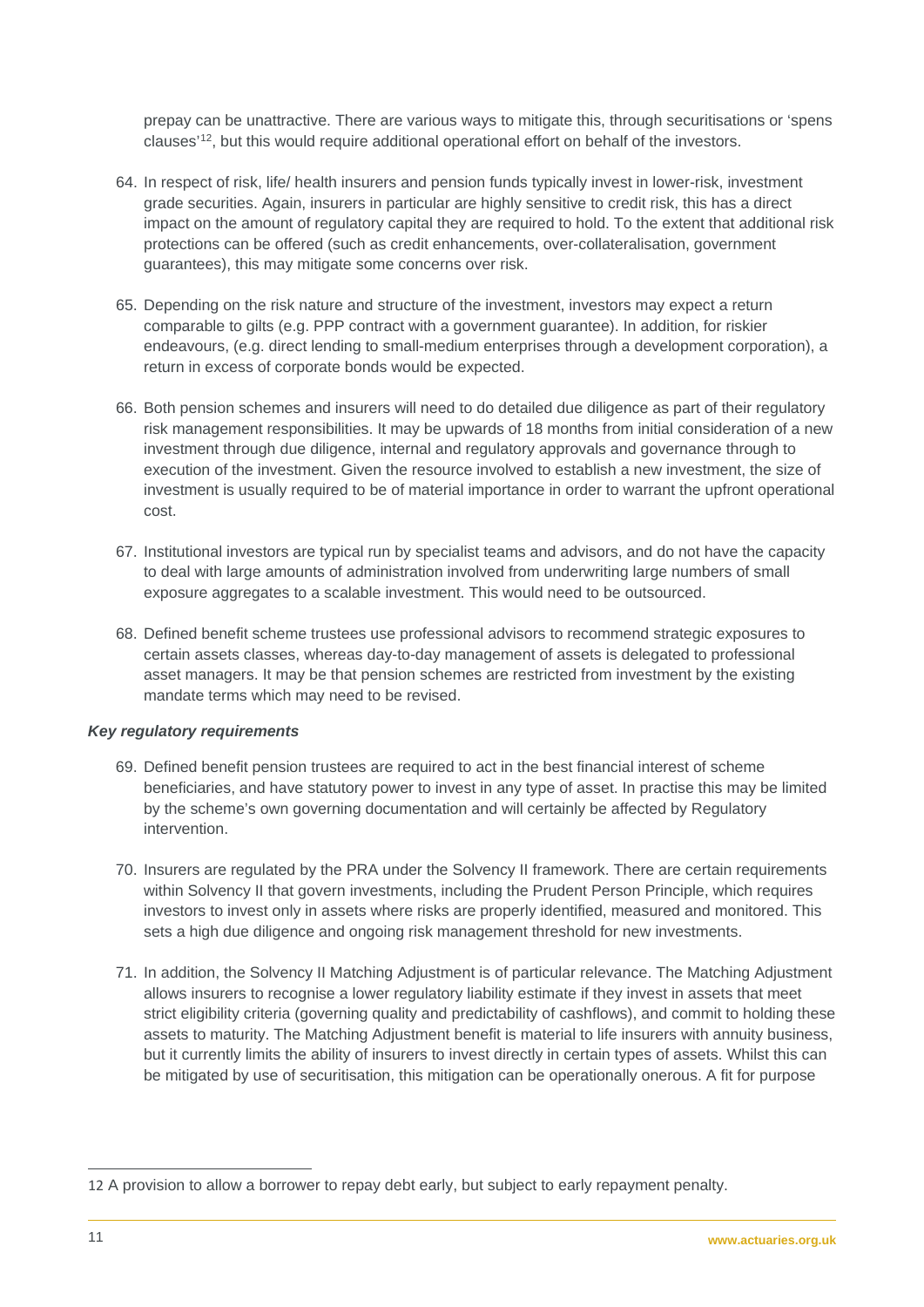prepay can be unattractive. There are various ways to mitigate this, through securitisations or 'spens clauses' [12,](#page-10-0) but this would require additional operational effort on behalf of the investors.

- 64. In respect of risk, life/ health insurers and pension funds typically invest in lower-risk, investment grade securities. Again, insurers in particular are highly sensitive to credit risk, this has a direct impact on the amount of regulatory capital they are required to hold. To the extent that additional risk protections can be offered (such as credit enhancements, over-collateralisation, government guarantees), this may mitigate some concerns over risk.
- 65. Depending on the risk nature and structure of the investment, investors may expect a return comparable to gilts (e.g. PPP contract with a government guarantee). In addition, for riskier endeavours, (e.g. direct lending to small-medium enterprises through a development corporation), a return in excess of corporate bonds would be expected.
- 66. Both pension schemes and insurers will need to do detailed due diligence as part of their regulatory risk management responsibilities. It may be upwards of 18 months from initial consideration of a new investment through due diligence, internal and regulatory approvals and governance through to execution of the investment. Given the resource involved to establish a new investment, the size of investment is usually required to be of material importance in order to warrant the upfront operational cost.
- 67. Institutional investors are typical run by specialist teams and advisors, and do not have the capacity to deal with large amounts of administration involved from underwriting large numbers of small exposure aggregates to a scalable investment. This would need to be outsourced.
- 68. Defined benefit scheme trustees use professional advisors to recommend strategic exposures to certain assets classes, whereas day-to-day management of assets is delegated to professional asset managers. It may be that pension schemes are restricted from investment by the existing mandate terms which may need to be revised.

## *Key regulatory requirements*

- 69. Defined benefit pension trustees are required to act in the best financial interest of scheme beneficiaries, and have statutory power to invest in any type of asset. In practise this may be limited by the scheme's own governing documentation and will certainly be affected by Regulatory intervention.
- 70. Insurers are regulated by the PRA under the Solvency II framework. There are certain requirements within Solvency II that govern investments, including the Prudent Person Principle, which requires investors to invest only in assets where risks are properly identified, measured and monitored. This sets a high due diligence and ongoing risk management threshold for new investments.
- 71. In addition, the Solvency II Matching Adjustment is of particular relevance. The Matching Adjustment allows insurers to recognise a lower regulatory liability estimate if they invest in assets that meet strict eligibility criteria (governing quality and predictability of cashflows), and commit to holding these assets to maturity. The Matching Adjustment benefit is material to life insurers with annuity business, but it currently limits the ability of insurers to invest directly in certain types of assets. Whilst this can be mitigated by use of securitisation, this mitigation can be operationally onerous. A fit for purpose

<span id="page-10-0"></span> $\overline{a}$ 12 A provision to allow a borrower to repay debt early, but subject to early repayment penalty.